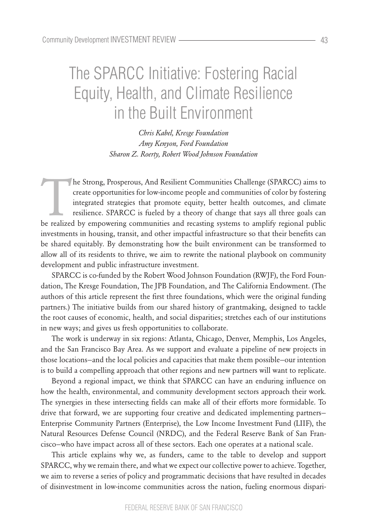# The SPARCC Initiative: Fostering Racial Equity, Health, and Climate Resilience in the Built Environment

*Chris Kabel, Kresge Foundation Amy Kenyon, Ford Foundation Sharon Z. Roerty, Robert Wood Johnson Foundation*

The Strong, Prosperous, And Resilient Communities Challenge (SPARCC) aims to create opportunities for low-income people and communities of color by fostering integrated strategies that promote equity, better health outcomes, and climate resilience. SPARCC is fueled by a theory of change that says all three goals can be realized by empowering communities and recasting systems to amplify regional public investments in housing, transit, and other impactful infrastructure so that their benefits can be shared equitably. By demonstrating how the built environment can be transformed to allow all of its residents to thrive, we aim to rewrite the national playbook on community development and public infrastructure investment.

SPARCC is co-funded by the Robert Wood Johnson Foundation (RWJF), the Ford Foundation, The Kresge Foundation, The JPB Foundation, and The California Endowment. (The authors of this article represent the first three foundations, which were the original funding partners.) The initiative builds from our shared history of grantmaking, designed to tackle the root causes of economic, health, and social disparities; stretches each of our institutions in new ways; and gives us fresh opportunities to collaborate.

The work is underway in six regions: Atlanta, Chicago, Denver, Memphis, Los Angeles, and the San Francisco Bay Area. As we support and evaluate a pipeline of new projects in those locations—and the local policies and capacities that make them possible—our intention is to build a compelling approach that other regions and new partners will want to replicate.

Beyond a regional impact, we think that SPARCC can have an enduring influence on how the health, environmental, and community development sectors approach their work. The synergies in these intersecting fields can make all of their efforts more formidable. To drive that forward, we are supporting four creative and dedicated implementing partners— Enterprise Community Partners (Enterprise), the Low Income Investment Fund (LIIF), the Natural Resources Defense Council (NRDC), and the Federal Reserve Bank of San Francisco—who have impact across all of these sectors. Each one operates at a national scale.

This article explains why we, as funders, came to the table to develop and support SPARCC, why we remain there, and what we expect our collective power to achieve. Together, we aim to reverse a series of policy and programmatic decisions that have resulted in decades of disinvestment in low-income communities across the nation, fueling enormous dispari-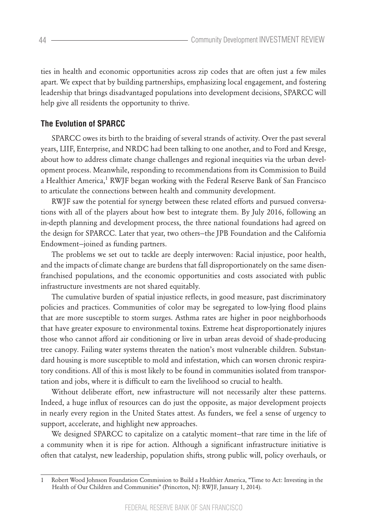ties in health and economic opportunities across zip codes that are often just a few miles apart. We expect that by building partnerships, emphasizing local engagement, and fostering leadership that brings disadvantaged populations into development decisions, SPARCC will help give all residents the opportunity to thrive.

## **The Evolution of SPARCC**

SPARCC owes its birth to the braiding of several strands of activity. Over the past several years, LIIF, Enterprise, and NRDC had been talking to one another, and to Ford and Kresge, about how to address climate change challenges and regional inequities via the urban development process. Meanwhile, responding to recommendations from its Commission to Build a Healthier America,<sup>1</sup> RWJF began working with the Federal Reserve Bank of San Francisco to articulate the connections between health and community development.

RWJF saw the potential for synergy between these related efforts and pursued conversations with all of the players about how best to integrate them. By July 2016, following an in-depth planning and development process, the three national foundations had agreed on the design for SPARCC. Later that year, two others—the JPB Foundation and the California Endowment—joined as funding partners.

The problems we set out to tackle are deeply interwoven: Racial injustice, poor health, and the impacts of climate change are burdens that fall disproportionately on the same disenfranchised populations, and the economic opportunities and costs associated with public infrastructure investments are not shared equitably.

The cumulative burden of spatial injustice reflects, in good measure, past discriminatory policies and practices. Communities of color may be segregated to low-lying flood plains that are more susceptible to storm surges. Asthma rates are higher in poor neighborhoods that have greater exposure to environmental toxins. Extreme heat disproportionately injures those who cannot afford air conditioning or live in urban areas devoid of shade-producing tree canopy. Failing water systems threaten the nation's most vulnerable children. Substandard housing is more susceptible to mold and infestation, which can worsen chronic respiratory conditions. All of this is most likely to be found in communities isolated from transportation and jobs, where it is difficult to earn the livelihood so crucial to health.

Without deliberate effort, new infrastructure will not necessarily alter these patterns. Indeed, a huge influx of resources can do just the opposite, as major development projects in nearly every region in the United States attest. As funders, we feel a sense of urgency to support, accelerate, and highlight new approaches.

We designed SPARCC to capitalize on a catalytic moment—that rare time in the life of a community when it is ripe for action. Although a significant infrastructure initiative is often that catalyst, new leadership, population shifts, strong public will, policy overhauls, or

<sup>1</sup> Robert Wood Johnson Foundation Commission to Build a Healthier America, "Time to Act: Investing in the Health of Our Children and Communities" (Princeton, NJ: RWJF, January 1, 2014).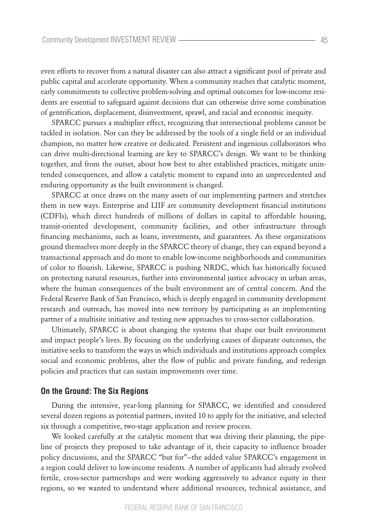even efforts to recover from a natural disaster can also attract a significant pool of private and public capital and accelerate opportunity. When a community reaches that catalytic moment, early commitments to collective problem-solving and optimal outcomes for low-income residents are essential to safeguard against decisions that can otherwise drive some combination of gentrification, displacement, disinvestment, sprawl, and racial and economic inequity.

SPARCC pursues a multiplier effect, recognizing that intersectional problems cannot be tackled in isolation. Nor can they be addressed by the tools of a single field or an individual champion, no matter how creative or dedicated. Persistent and ingenious collaborators who can drive multi-directional learning are key to SPARCC's design. We want to be thinking together, and from the outset, about how best to alter established practices, mitigate unintended consequences, and allow a catalytic moment to expand into an unprecedented and enduring opportunity as the built environment is changed.

SPARCC at once draws on the many assets of our implementing partners and stretches them in new ways. Enterprise and LIIF are community development financial institutions (CDFIs), which direct hundreds of millions of dollars in capital to affordable housing, transit-oriented development, community facilities, and other infrastructure through financing mechanisms, such as loans, investments, and guarantees. As these organizations ground themselves more deeply in the SPARCC theory of change, they can expand beyond a transactional approach and do more to enable low-income neighborhoods and communities of color to flourish. Likewise, SPARCC is pushing NRDC, which has historically focused on protecting natural resources, further into environmental justice advocacy in urban areas, where the human consequences of the built environment are of central concern. And the Federal Reserve Bank of San Francisco, which is deeply engaged in community development research and outreach, has moved into new territory by participating as an implementing partner of a multisite initiative and testing new approaches to cross-sector collaboration.

Ultimately, SPARCC is about changing the systems that shape our built environment and impact people's lives. By focusing on the underlying causes of disparate outcomes, the initiative seeks to transform the ways in which individuals and institutions approach complex social and economic problems, alter the flow of public and private funding, and redesign policies and practices that can sustain improvements over time.

## **On the Ground: The Six Regions**

During the intensive, year-long planning for SPARCC, we identified and considered several dozen regions as potential partners, invited 10 to apply for the initiative, and selected six through a competitive, two-stage application and review process.

We looked carefully at the catalytic moment that was driving their planning, the pipeline of projects they proposed to take advantage of it, their capacity to influence broader policy discussions, and the SPARCC "but for"—the added value SPARCC's engagement in a region could deliver to low-income residents. A number of applicants had already evolved fertile, cross-sector partnerships and were working aggressively to advance equity in their regions, so we wanted to understand where additional resources, technical assistance, and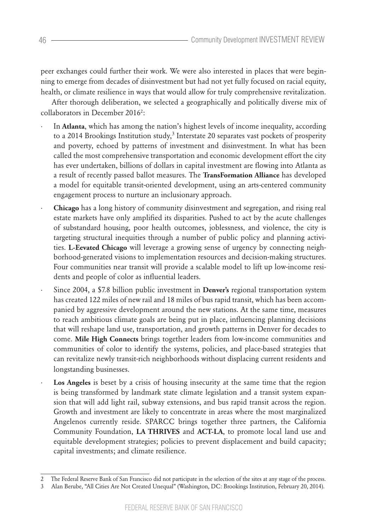peer exchanges could further their work. We were also interested in places that were beginning to emerge from decades of disinvestment but had not yet fully focused on racial equity, health, or climate resilience in ways that would allow for truly comprehensive revitalization.

After thorough deliberation, we selected a geographically and politically diverse mix of collaborators in December 2016<sup>2</sup>:

- In Atlanta, which has among the nation's highest levels of income inequality, according to a 2014 Brookings Institution study, $^3$  Interstate 20 separates vast pockets of prosperity and poverty, echoed by patterns of investment and disinvestment. In what has been called the most comprehensive transportation and economic development effort the city has ever undertaken, billions of dollars in capital investment are flowing into Atlanta as a result of recently passed ballot measures. The **TransFormation Alliance** has developed a model for equitable transit-oriented development, using an arts-centered community engagement process to nurture an inclusionary approach.
- · **Chicago** has a long history of community disinvestment and segregation, and rising real estate markets have only amplified its disparities. Pushed to act by the acute challenges of substandard housing, poor health outcomes, joblessness, and violence, the city is targeting structural inequities through a number of public policy and planning activities. **L-Eevated Chicago** will leverage a growing sense of urgency by connecting neighborhood-generated visions to implementation resources and decision-making structures. Four communities near transit will provide a scalable model to lift up low-income residents and people of color as influential leaders.
- · Since 2004, a \$7.8 billion public investment in **Denver's** regional transportation system has created 122 miles of new rail and 18 miles of bus rapid transit, which has been accompanied by aggressive development around the new stations. At the same time, measures to reach ambitious climate goals are being put in place, influencing planning decisions that will reshape land use, transportation, and growth patterns in Denver for decades to come. **Mile High Connects** brings together leaders from low-income communities and communities of color to identify the systems, policies, and place-based strategies that can revitalize newly transit-rich neighborhoods without displacing current residents and longstanding businesses.
- Los Angeles is beset by a crisis of housing insecurity at the same time that the region is being transformed by landmark state climate legislation and a transit system expansion that will add light rail, subway extensions, and bus rapid transit across the region. Growth and investment are likely to concentrate in areas where the most marginalized Angelenos currently reside. SPARCC brings together three partners, the California Community Foundation, **LA THRIVES** and **ACT-LA**, to promote local land use and equitable development strategies; policies to prevent displacement and build capacity; capital investments; and climate resilience.

<sup>2</sup> The Federal Reserve Bank of San Francisco did not participate in the selection of the sites at any stage of the process.

<sup>3</sup> Alan Berube, "All Cities Are Not Created Unequal" (Washington, DC: Brookings Institution, February 20, 2014).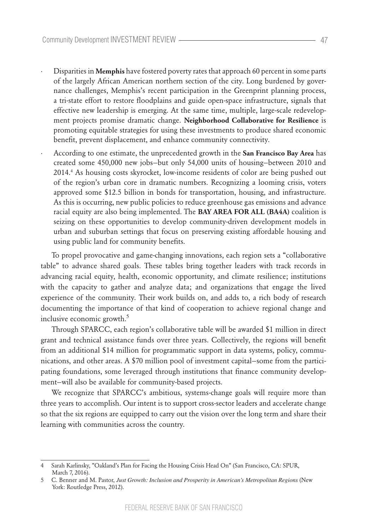- · Disparities in **Memphis** have fostered poverty rates that approach 60 percent in some parts of the largely African American northern section of the city. Long burdened by governance challenges, Memphis's recent participation in the Greenprint planning process, a tri-state effort to restore floodplains and guide open-space infrastructure, signals that effective new leadership is emerging. At the same time, multiple, large-scale redevelopment projects promise dramatic change. **Neighborhood Collaborative for Resilience** is promoting equitable strategies for using these investments to produce shared economic benefit, prevent displacement, and enhance community connectivity.
- · According to one estimate, the unprecedented growth in the **San Francisco Bay Area** has created some 450,000 new jobs—but only 54,000 units of housing—between 2010 and 2014.4 As housing costs skyrocket, low-income residents of color are being pushed out of the region's urban core in dramatic numbers. Recognizing a looming crisis, voters approved some \$12.5 billion in bonds for transportation, housing, and infrastructure. As this is occurring, new public policies to reduce greenhouse gas emissions and advance racial equity are also being implemented. The **BAY AREA FOR ALL (BA4A)** coalition is seizing on these opportunities to develop community-driven development models in urban and suburban settings that focus on preserving existing affordable housing and using public land for community benefits.

To propel provocative and game-changing innovations, each region sets a "collaborative table" to advance shared goals. These tables bring together leaders with track records in advancing racial equity, health, economic opportunity, and climate resilience; institutions with the capacity to gather and analyze data; and organizations that engage the lived experience of the community. Their work builds on, and adds to, a rich body of research documenting the importance of that kind of cooperation to achieve regional change and inclusive economic growth.<sup>5</sup>

Through SPARCC, each region's collaborative table will be awarded \$1 million in direct grant and technical assistance funds over three years. Collectively, the regions will benefit from an additional \$14 million for programmatic support in data systems, policy, communications, and other areas. A \$70 million pool of investment capital—some from the participating foundations, some leveraged through institutions that finance community development—will also be available for community-based projects.

We recognize that SPARCC's ambitious, systems-change goals will require more than three years to accomplish. Our intent is to support cross-sector leaders and accelerate change so that the six regions are equipped to carry out the vision over the long term and share their learning with communities across the country.

<sup>4</sup> Sarah Karlinsky, "Oakland's Plan for Facing the Housing Crisis Head On" (San Francisco, CA: SPUR, March 7, 2016).

<sup>5</sup> C. Benner and M. Pastor, *Just Growth: Inclusion and Prosperity in American's Metropolitan Regions* (New York: Routledge Press, 2012).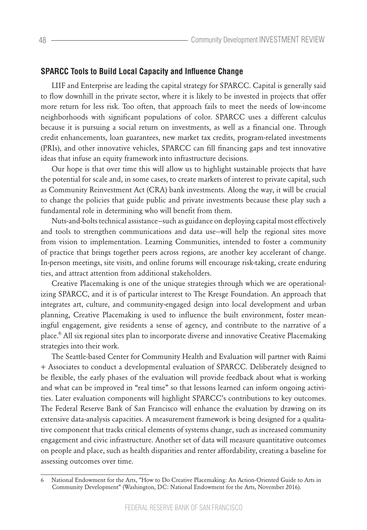#### **SPARCC Tools to Build Local Capacity and Influence Change**

LIIF and Enterprise are leading the capital strategy for SPARCC. Capital is generally said to flow downhill in the private sector, where it is likely to be invested in projects that offer more return for less risk. Too often, that approach fails to meet the needs of low-income neighborhoods with significant populations of color. SPARCC uses a different calculus because it is pursuing a social return on investments, as well as a financial one. Through credit enhancements, loan guarantees, new market tax credits, program-related investments (PRIs), and other innovative vehicles, SPARCC can fill financing gaps and test innovative ideas that infuse an equity framework into infrastructure decisions.

Our hope is that over time this will allow us to highlight sustainable projects that have the potential for scale and, in some cases, to create markets of interest to private capital, such as Community Reinvestment Act (CRA) bank investments. Along the way, it will be crucial to change the policies that guide public and private investments because these play such a fundamental role in determining who will benefit from them.

Nuts-and-bolts technical assistance—such as guidance on deploying capital most effectively and tools to strengthen communications and data use—will help the regional sites move from vision to implementation. Learning Communities, intended to foster a community of practice that brings together peers across regions, are another key accelerant of change. In-person meetings, site visits, and online forums will encourage risk-taking, create enduring ties, and attract attention from additional stakeholders.

Creative Placemaking is one of the unique strategies through which we are operationalizing SPARCC, and it is of particular interest to The Kresge Foundation. An approach that integrates art, culture, and community-engaged design into local development and urban planning, Creative Placemaking is used to influence the built environment, foster meaningful engagement, give residents a sense of agency, and contribute to the narrative of a place.<sup>6</sup> All six regional sites plan to incorporate diverse and innovative Creative Placemaking strategies into their work.

The Seattle-based Center for Community Health and Evaluation will partner with Raimi + Associates to conduct a developmental evaluation of SPARCC. Deliberately designed to be flexible, the early phases of the evaluation will provide feedback about what is working and what can be improved in "real time" so that lessons learned can inform ongoing activities. Later evaluation components will highlight SPARCC's contributions to key outcomes. The Federal Reserve Bank of San Francisco will enhance the evaluation by drawing on its extensive data-analysis capacities. A measurement framework is being designed for a qualitative component that tracks critical elements of systems change, such as increased community engagement and civic infrastructure. Another set of data will measure quantitative outcomes on people and place, such as health disparities and renter affordability, creating a baseline for assessing outcomes over time.

<sup>6</sup> National Endowment for the Arts, "How to Do Creative Placemaking: An Action-Oriented Guide to Arts in Community Development" (Washington, DC: National Endowment for the Arts, November 2016).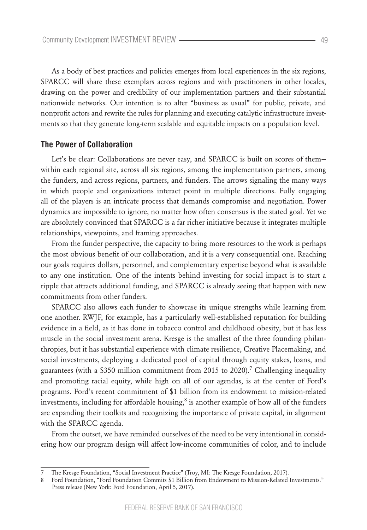As a body of best practices and policies emerges from local experiences in the six regions, SPARCC will share these exemplars across regions and with practitioners in other locales, drawing on the power and credibility of our implementation partners and their substantial nationwide networks. Our intention is to alter "business as usual" for public, private, and nonprofit actors and rewrite the rules for planning and executing catalytic infrastructure investments so that they generate long-term scalable and equitable impacts on a population level.

### **The Power of Collaboration**

Let's be clear: Collaborations are never easy, and SPARCC is built on scores of them within each regional site, across all six regions, among the implementation partners, among the funders, and across regions, partners, and funders. The arrows signaling the many ways in which people and organizations interact point in multiple directions. Fully engaging all of the players is an intricate process that demands compromise and negotiation. Power dynamics are impossible to ignore, no matter how often consensus is the stated goal. Yet we are absolutely convinced that SPARCC is a far richer initiative because it integrates multiple relationships, viewpoints, and framing approaches.

From the funder perspective, the capacity to bring more resources to the work is perhaps the most obvious benefit of our collaboration, and it is a very consequential one. Reaching our goals requires dollars, personnel, and complementary expertise beyond what is available to any one institution. One of the intents behind investing for social impact is to start a ripple that attracts additional funding, and SPARCC is already seeing that happen with new commitments from other funders.

SPARCC also allows each funder to showcase its unique strengths while learning from one another. RWJF, for example, has a particularly well-established reputation for building evidence in a field, as it has done in tobacco control and childhood obesity, but it has less muscle in the social investment arena. Kresge is the smallest of the three founding philanthropies, but it has substantial experience with climate resilience, Creative Placemaking, and social investments, deploying a dedicated pool of capital through equity stakes, loans, and guarantees (with a \$350 million commitment from 2015 to 2020).<sup>7</sup> Challenging inequality and promoting racial equity, while high on all of our agendas, is at the center of Ford's programs. Ford's recent commitment of \$1 billion from its endowment to mission-related investments, including for affordable housing, $8$  is another example of how all of the funders are expanding their toolkits and recognizing the importance of private capital, in alignment with the SPARCC agenda.

From the outset, we have reminded ourselves of the need to be very intentional in considering how our program design will affect low-income communities of color, and to include

<sup>7</sup> The Kresge Foundation, "Social Investment Practice" (Troy, MI: The Kresge Foundation, 2017).

<sup>8</sup> Ford Foundation, "Ford Foundation Commits \$1 Billion from Endowment to Mission-Related Investments." Press release (New York: Ford Foundation, April 5, 2017).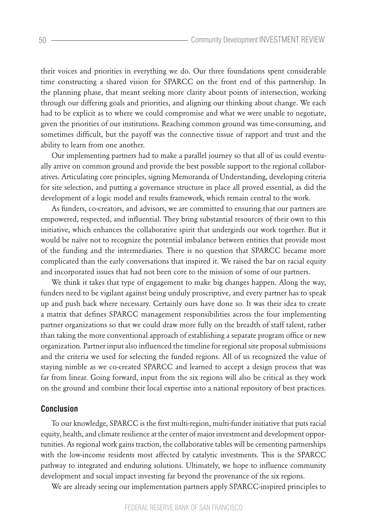their voices and priorities in everything we do. Our three foundations spent considerable time constructing a shared vision for SPARCC on the front end of this partnership. In the planning phase, that meant seeking more clarity about points of intersection, working through our differing goals and priorities, and aligning our thinking about change. We each had to be explicit as to where we could compromise and what we were unable to negotiate, given the priorities of our institutions. Reaching common ground was time-consuming, and sometimes difficult, but the payoff was the connective tissue of rapport and trust and the ability to learn from one another.

Our implementing partners had to make a parallel journey so that all of us could eventually arrive on common ground and provide the best possible support to the regional collaboratives. Articulating core principles, signing Memoranda of Understanding, developing criteria for site selection, and putting a governance structure in place all proved essential, as did the development of a logic model and results framework, which remain central to the work.

As funders, co-creators, and advisors, we are committed to ensuring that our partners are empowered, respected, and influential. They bring substantial resources of their own to this initiative, which enhances the collaborative spirit that undergirds our work together. But it would be naïve not to recognize the potential imbalance between entities that provide most of the funding and the intermediaries. There is no question that SPARCC became more complicated than the early conversations that inspired it. We raised the bar on racial equity and incorporated issues that had not been core to the mission of some of our partners.

We think it takes that type of engagement to make big changes happen. Along the way, funders need to be vigilant against being unduly proscriptive, and every partner has to speak up and push back where necessary. Certainly ours have done so. It was their idea to create a matrix that defines SPARCC management responsibilities across the four implementing partner organizations so that we could draw more fully on the breadth of staff talent, rather than taking the more conventional approach of establishing a separate program office or new organization. Partner input also influenced the timeline for regional site proposal submissions and the criteria we used for selecting the funded regions. All of us recognized the value of staying nimble as we co-created SPARCC and learned to accept a design process that was far from linear. Going forward, input from the six regions will also be critical as they work on the ground and combine their local expertise into a national repository of best practices.

#### **Conclusion**

To our knowledge, SPARCC is the first multi-region, multi-funder initiative that puts racial equity, health, and climate resilience at the center of major investment and development opportunities. As regional work gains traction, the collaborative tables will be cementing partnerships with the low-income residents most affected by catalytic investments. This is the SPARCC pathway to integrated and enduring solutions. Ultimately, we hope to influence community development and social impact investing far beyond the provenance of the six regions.

We are already seeing our implementation partners apply SPARCC-inspired principles to